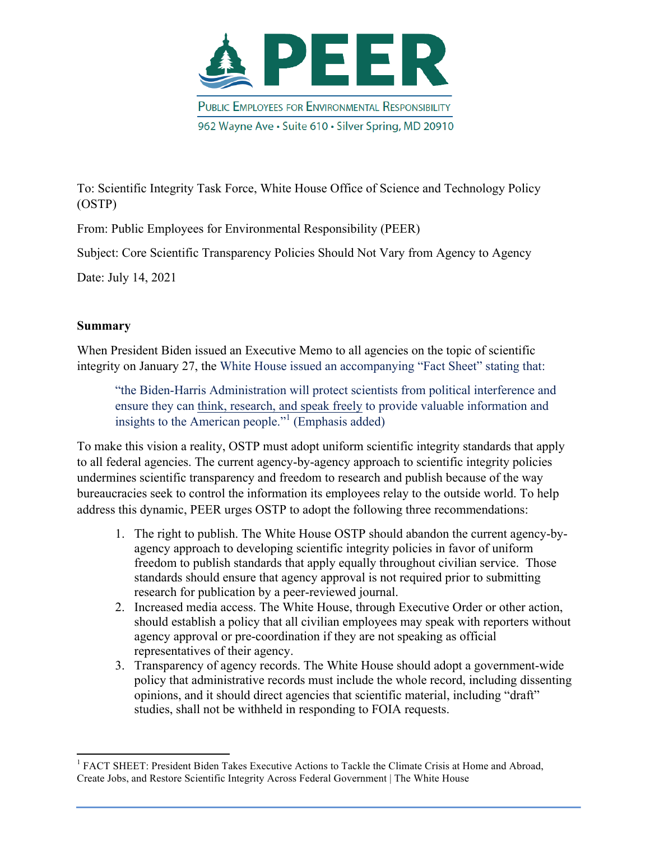

To: Scientific Integrity Task Force, White House Office of Science and Technology Policy (OSTP)

From: Public Employees for Environmental Responsibility (PEER)

Subject: Core Scientific Transparency Policies Should Not Vary from Agency to Agency

Date: July 14, 2021

<u> 1989 - Jan Samuel Barbara, margaret e</u>

# **Summary**

When President Biden issued an Executive Memo to all agencies on the topic of scientific integrity on January 27, the White House issued an accompanying "Fact Sheet" stating that:

"the Biden-Harris Administration will protect scientists from political interference and ensure they can think, research, and speak freely to provide valuable information and insights to the American people."<sup>1</sup> (Emphasis added)

To make this vision a reality, OSTP must adopt uniform scientific integrity standards that apply to all federal agencies. The current agency-by-agency approach to scientific integrity policies undermines scientific transparency and freedom to research and publish because of the way bureaucracies seek to control the information its employees relay to the outside world. To help address this dynamic, PEER urges OSTP to adopt the following three recommendations:

- 1. The right to publish. The White House OSTP should abandon the current agency-byagency approach to developing scientific integrity policies in favor of uniform freedom to publish standards that apply equally throughout civilian service. Those standards should ensure that agency approval is not required prior to submitting research for publication by a peer-reviewed journal.
- 2. Increased media access. The White House, through Executive Order or other action, should establish a policy that all civilian employees may speak with reporters without agency approval or pre-coordination if they are not speaking as official representatives of their agency.
- 3. Transparency of agency records. The White House should adopt a government-wide policy that administrative records must include the whole record, including dissenting opinions, and it should direct agencies that scientific material, including "draft" studies, shall not be withheld in responding to FOIA requests.

<sup>&</sup>lt;sup>1</sup> FACT SHEET: President Biden Takes Executive Actions to Tackle the Climate Crisis at Home and Abroad, Create Jobs, and Restore Scientific Integrity Across Federal Government | The White House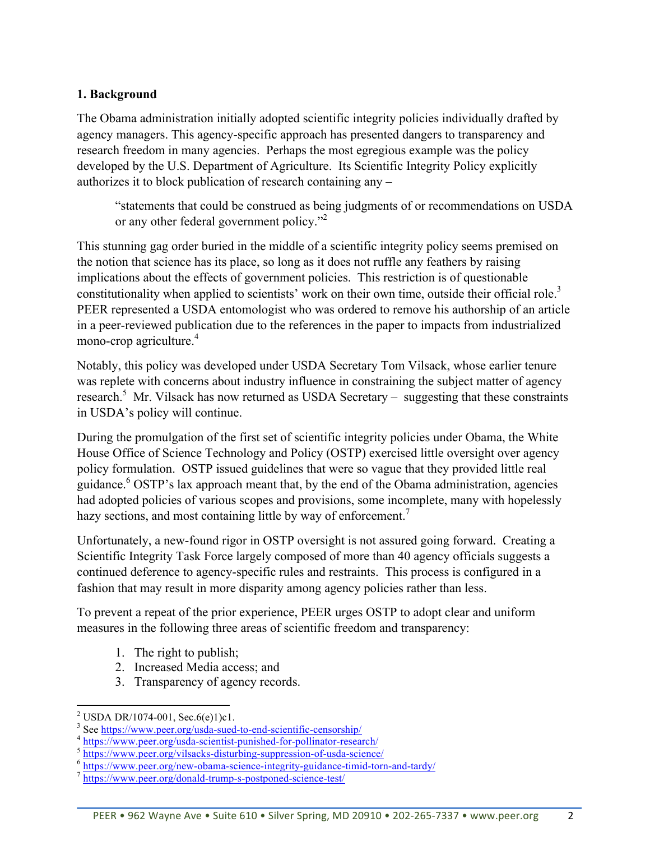### **1. Background**

The Obama administration initially adopted scientific integrity policies individually drafted by agency managers. This agency-specific approach has presented dangers to transparency and research freedom in many agencies. Perhaps the most egregious example was the policy developed by the U.S. Department of Agriculture. Its Scientific Integrity Policy explicitly authorizes it to block publication of research containing any –

"statements that could be construed as being judgments of or recommendations on USDA or any other federal government policy."<sup>2</sup>

This stunning gag order buried in the middle of a scientific integrity policy seems premised on the notion that science has its place, so long as it does not ruffle any feathers by raising implications about the effects of government policies. This restriction is of questionable constitutionality when applied to scientists' work on their own time, outside their official role.<sup>3</sup> PEER represented a USDA entomologist who was ordered to remove his authorship of an article in a peer-reviewed publication due to the references in the paper to impacts from industrialized mono-crop agriculture.<sup>4</sup>

Notably, this policy was developed under USDA Secretary Tom Vilsack, whose earlier tenure was replete with concerns about industry influence in constraining the subject matter of agency research.<sup>5</sup> Mr. Vilsack has now returned as USDA Secretary – suggesting that these constraints in USDA's policy will continue.

During the promulgation of the first set of scientific integrity policies under Obama, the White House Office of Science Technology and Policy (OSTP) exercised little oversight over agency policy formulation. OSTP issued guidelines that were so vague that they provided little real guidance.<sup>6</sup> OSTP's lax approach meant that, by the end of the Obama administration, agencies had adopted policies of various scopes and provisions, some incomplete, many with hopelessly hazy sections, and most containing little by way of enforcement.<sup>7</sup>

Unfortunately, a new-found rigor in OSTP oversight is not assured going forward. Creating a Scientific Integrity Task Force largely composed of more than 40 agency officials suggests a continued deference to agency-specific rules and restraints. This process is configured in a fashion that may result in more disparity among agency policies rather than less.

To prevent a repeat of the prior experience, PEER urges OSTP to adopt clear and uniform measures in the following three areas of scientific freedom and transparency:

- 1. The right to publish;
- 2. Increased Media access; and
- 3. Transparency of agency records.

<sup>&</sup>lt;sup>2</sup> USDA DR/1074-001, Sec.6(e)1)c1.<br>
<sup>3</sup> See https://www.peer.org/usda-sued-to-end-scientific-censorship/<br>
<sup>4</sup> https://www.peer.org/usda-scientist-punished-for-pollinator-research/<br>
<sup>5</sup> https://www.peer.org/vilsacks-distu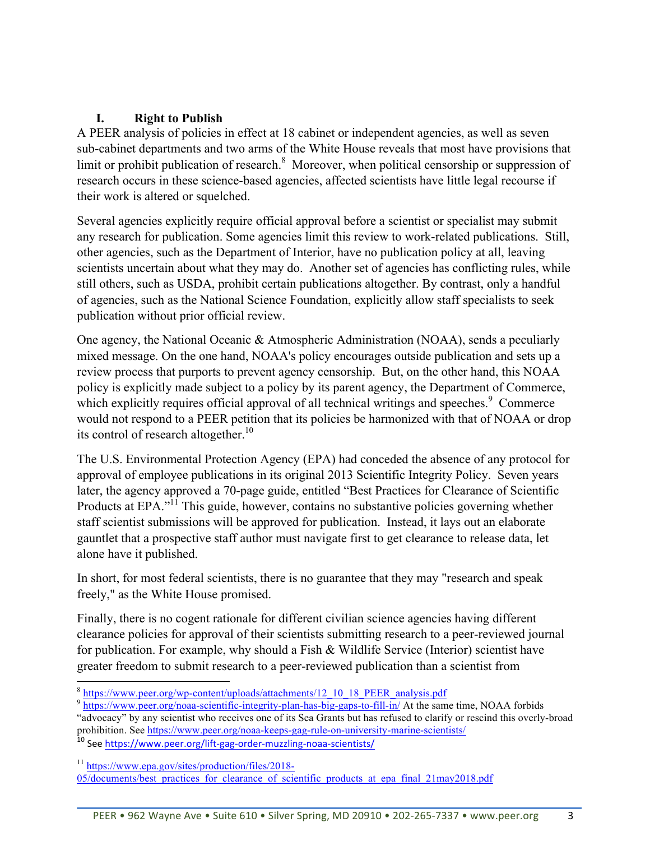# **I. Right to Publish**

A PEER analysis of policies in effect at 18 cabinet or independent agencies, as well as seven sub-cabinet departments and two arms of the White House reveals that most have provisions that limit or prohibit publication of research. $8\text{ Moreover}$ , when political censorship or suppression of research occurs in these science-based agencies, affected scientists have little legal recourse if their work is altered or squelched.

Several agencies explicitly require official approval before a scientist or specialist may submit any research for publication. Some agencies limit this review to work-related publications. Still, other agencies, such as the Department of Interior, have no publication policy at all, leaving scientists uncertain about what they may do. Another set of agencies has conflicting rules, while still others, such as USDA, prohibit certain publications altogether. By contrast, only a handful of agencies, such as the National Science Foundation, explicitly allow staff specialists to seek publication without prior official review.

One agency, the National Oceanic & Atmospheric Administration (NOAA), sends a peculiarly mixed message. On the one hand, NOAA's policy encourages outside publication and sets up a review process that purports to prevent agency censorship. But, on the other hand, this NOAA policy is explicitly made subject to a policy by its parent agency, the Department of Commerce, which explicitly requires official approval of all technical writings and speeches.<sup>9</sup> Commerce would not respond to a PEER petition that its policies be harmonized with that of NOAA or drop its control of research altogether.<sup>10</sup>

The U.S. Environmental Protection Agency (EPA) had conceded the absence of any protocol for approval of employee publications in its original 2013 Scientific Integrity Policy. Seven years later, the agency approved a 70-page guide, entitled "Best Practices for Clearance of Scientific Products at EPA."<sup>11</sup> This guide, however, contains no substantive policies governing whether staff scientist submissions will be approved for publication. Instead, it lays out an elaborate gauntlet that a prospective staff author must navigate first to get clearance to release data, let alone have it published.

In short, for most federal scientists, there is no guarantee that they may "research and speak freely," as the White House promised.

Finally, there is no cogent rationale for different civilian science agencies having different clearance policies for approval of their scientists submitting research to a peer-reviewed journal for publication. For example, why should a Fish & Wildlife Service (Interior) scientist have greater freedom to submit research to a peer-reviewed publication than a scientist from

<u> 1989 - Jan Samuel Barbara, margaret e</u>

<sup>11</sup> https://www.epa.gov/sites/production/files/2018- 05/documents/best\_practices\_for\_clearance\_of\_scientific\_products\_at\_epa\_final\_21may2018.pdf

 $\frac{8 \text{ https://www.peer.org/wp-content/uploads/attachments/12\_10\_18\_PEER\_analysis.pdf}{9 \text{ https://www.peer.org/noaa-scientific-integrity-plan-has-big-gaps-to-fill-in/ At the same time, NOAA forbids}$ "advocacy" by any scientist who receives one of its Sea Grants but has refused to clarify or rescind this overly-broad prohibition. See https://www.peer.org/noaa-keeps-gag-rule-on-university-marine-scientists/

<sup>&</sup>lt;sup>10</sup> See https://www.peer.org/lift-gag-order-muzzling-noaa-scientists/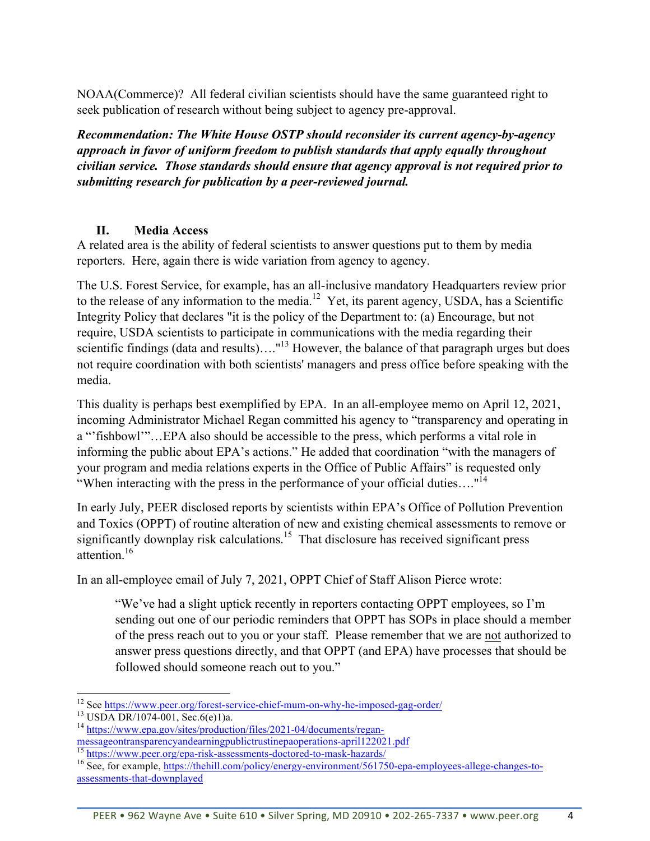NOAA(Commerce)? All federal civilian scientists should have the same guaranteed right to seek publication of research without being subject to agency pre-approval.

*Recommendation: The White House OSTP should reconsider its current agency-by-agency approach in favor of uniform freedom to publish standards that apply equally throughout civilian service. Those standards should ensure that agency approval is not required prior to submitting research for publication by a peer-reviewed journal.* 

### **II. Media Access**

A related area is the ability of federal scientists to answer questions put to them by media reporters. Here, again there is wide variation from agency to agency.

The U.S. Forest Service, for example, has an all-inclusive mandatory Headquarters review prior to the release of any information to the media.<sup>12</sup> Yet, its parent agency, USDA, has a Scientific Integrity Policy that declares "it is the policy of the Department to: (a) Encourage, but not require, USDA scientists to participate in communications with the media regarding their scientific findings (data and results)...."<sup>13</sup> However, the balance of that paragraph urges but does not require coordination with both scientists' managers and press office before speaking with the media.

This duality is perhaps best exemplified by EPA. In an all-employee memo on April 12, 2021, incoming Administrator Michael Regan committed his agency to "transparency and operating in a "'fishbowl'"…EPA also should be accessible to the press, which performs a vital role in informing the public about EPA's actions." He added that coordination "with the managers of your program and media relations experts in the Office of Public Affairs" is requested only "When interacting with the press in the performance of your official duties...."<sup>14</sup>

In early July, PEER disclosed reports by scientists within EPA's Office of Pollution Prevention and Toxics (OPPT) of routine alteration of new and existing chemical assessments to remove or significantly downplay risk calculations.<sup>15</sup> That disclosure has received significant press attention<sup>16</sup>

In an all-employee email of July 7, 2021, OPPT Chief of Staff Alison Pierce wrote:

"We've had a slight uptick recently in reporters contacting OPPT employees, so I'm sending out one of our periodic reminders that OPPT has SOPs in place should a member of the press reach out to you or your staff. Please remember that we are not authorized to answer press questions directly, and that OPPT (and EPA) have processes that should be followed should someone reach out to you."

<u> 1989 - Jan Samuel Barbara, margaret e</u>

<sup>&</sup>lt;sup>12</sup> See https://www.peer.org/forest-service-chief-mum-on-why-he-imposed-gag-order/<br><sup>13</sup> USDA DR/1074-001, Sec.6(e)1)a.<br><sup>14</sup> https://www.epa.gov/sites/production/files/2021-04/documents/regan-<br>messageontransparencyandearn

 $\frac{15 \text{ https://www.peer.org/epa-risk-assessments-doctored-to-mask-hazards/}}{16 \text{ See, for example, <a href="https://thehill.com/policy/energy-environment/561750-epa-employee-allege-changes-to-}}</math>$ assessments-that-downplayed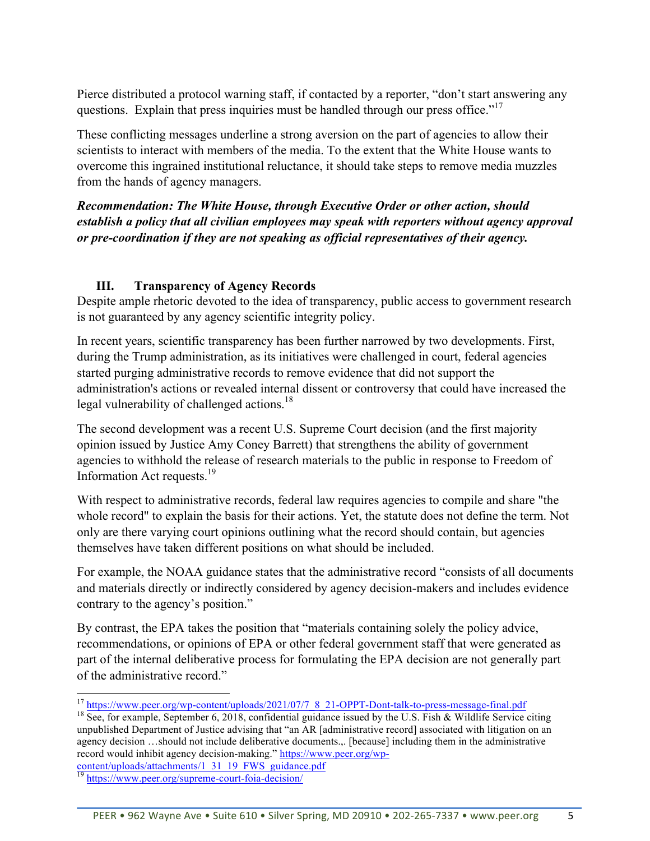Pierce distributed a protocol warning staff, if contacted by a reporter, "don't start answering any questions. Explain that press inquiries must be handled through our press office."<sup>17</sup>

These conflicting messages underline a strong aversion on the part of agencies to allow their scientists to interact with members of the media. To the extent that the White House wants to overcome this ingrained institutional reluctance, it should take steps to remove media muzzles from the hands of agency managers.

*Recommendation: The White House, through Executive Order or other action, should establish a policy that all civilian employees may speak with reporters without agency approval or pre-coordination if they are not speaking as official representatives of their agency.* 

# **III. Transparency of Agency Records**

Despite ample rhetoric devoted to the idea of transparency, public access to government research is not guaranteed by any agency scientific integrity policy.

In recent years, scientific transparency has been further narrowed by two developments. First, during the Trump administration, as its initiatives were challenged in court, federal agencies started purging administrative records to remove evidence that did not support the administration's actions or revealed internal dissent or controversy that could have increased the legal vulnerability of challenged actions.<sup>18</sup>

The second development was a recent U.S. Supreme Court decision (and the first majority opinion issued by Justice Amy Coney Barrett) that strengthens the ability of government agencies to withhold the release of research materials to the public in response to Freedom of Information Act requests.19

With respect to administrative records, federal law requires agencies to compile and share "the whole record" to explain the basis for their actions. Yet, the statute does not define the term. Not only are there varying court opinions outlining what the record should contain, but agencies themselves have taken different positions on what should be included.

For example, the NOAA guidance states that the administrative record "consists of all documents and materials directly or indirectly considered by agency decision-makers and includes evidence contrary to the agency's position."

By contrast, the EPA takes the position that "materials containing solely the policy advice, recommendations, or opinions of EPA or other federal government staff that were generated as part of the internal deliberative process for formulating the EPA decision are not generally part of the administrative record."

unpublished Department of Justice advising that "an AR [administrative record] associated with litigation on an agency decision ...should not include deliberative documents... [because] including them in the administrative record would inhibit agency decision-making." https://www.peer.org/wpcontent/uploads/attachments/1\_31\_19\_FWS\_guidance.pdf<br><sup>19</sup>.https://www.

<u> 1989 - Jan Samuel Barbara, margaret e</u>

<sup>&</sup>lt;sup>17</sup> https://www.peer.org/wp-content/uploads/2021/07/7\_8\_21-OPPT-Dont-talk-to-press-message-final.pdf <sup>18</sup> See, for example, September 6, 2018, confidential guidance issued by the U.S. Fish & Wildlife Service citing

https://www.peer.org/supreme-court-foia-decision/